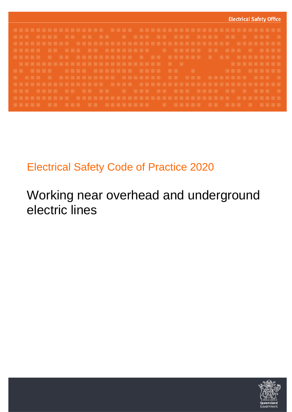

## Electrical Safety Code of Practice 2020

# Working near overhead and underground electric lines

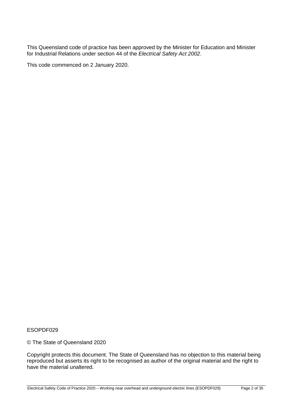This Queensland code of practice has been approved by the Minister for Education and Minister for Industrial Relations under section 44 of the *Electrical Safety Act 2002*.

This code commenced on 2 January 2020.

ESOPDF029

© The State of Queensland 2020

Copyright protects this document. The State of Queensland has no objection to this material being reproduced but asserts its right to be recognised as author of the original material and the right to have the material unaltered.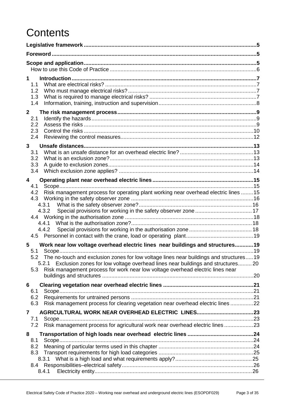# **Contents**

| $1 \quad$      |            |                                                                                            |  |  |  |
|----------------|------------|--------------------------------------------------------------------------------------------|--|--|--|
|                | 1.1        |                                                                                            |  |  |  |
|                | 1.2<br>1.3 |                                                                                            |  |  |  |
|                | 1.4        |                                                                                            |  |  |  |
| $\mathbf{2}$   |            |                                                                                            |  |  |  |
|                | 2.1        |                                                                                            |  |  |  |
|                | 2.2        |                                                                                            |  |  |  |
|                | 2.3        |                                                                                            |  |  |  |
|                | 2.4        |                                                                                            |  |  |  |
| $\mathbf{3}$   |            |                                                                                            |  |  |  |
|                | 3.1        |                                                                                            |  |  |  |
|                | 3.2<br>3.3 |                                                                                            |  |  |  |
|                | 3.4        |                                                                                            |  |  |  |
|                |            |                                                                                            |  |  |  |
| 4              | 4.1        |                                                                                            |  |  |  |
|                | 4.2        | Risk management process for operating plant working near overhead electric lines 15        |  |  |  |
|                | 4.3        |                                                                                            |  |  |  |
|                |            |                                                                                            |  |  |  |
|                |            | 4.3.2 Special provisions for working in the safety observer zone  17                       |  |  |  |
|                |            |                                                                                            |  |  |  |
|                |            | 4.4.2                                                                                      |  |  |  |
|                |            |                                                                                            |  |  |  |
| 5              |            | Work near low voltage overhead electric lines near buildings and structures19              |  |  |  |
|                | 5.1        |                                                                                            |  |  |  |
|                |            | 5.2 The no-touch and exclusion zones for low voltage lines near buildings and structures19 |  |  |  |
|                |            | 5.2.1 Exclusion zones for low voltage overhead lines near buildings and structures 20      |  |  |  |
|                | 5.3        | Risk management process for work near low voltage overhead electric lines near             |  |  |  |
|                |            |                                                                                            |  |  |  |
| 6              | 6.1        |                                                                                            |  |  |  |
|                | 6.2        |                                                                                            |  |  |  |
|                | 6.3        | Risk management process for clearing vegetation near overhead electric lines 22            |  |  |  |
| $\overline{7}$ |            |                                                                                            |  |  |  |
|                | 7.1        |                                                                                            |  |  |  |
|                | 7.2        | Risk management process for agricultural work near overhead electric lines 23              |  |  |  |
| 8              |            |                                                                                            |  |  |  |
|                | 8.1        |                                                                                            |  |  |  |
|                | 8.2<br>8.3 |                                                                                            |  |  |  |
|                |            |                                                                                            |  |  |  |
|                | 8.4        |                                                                                            |  |  |  |
|                |            | 8.4.1                                                                                      |  |  |  |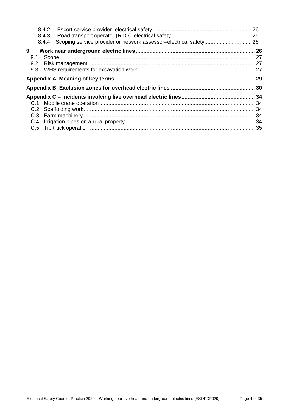|     | 8.4.3 |  |
|-----|-------|--|
|     | 8.4.4 |  |
| 9   |       |  |
| 9.1 |       |  |
| 9.2 |       |  |
| 9.3 |       |  |
|     |       |  |
|     |       |  |
|     |       |  |
|     |       |  |
|     |       |  |
|     |       |  |
|     |       |  |
|     |       |  |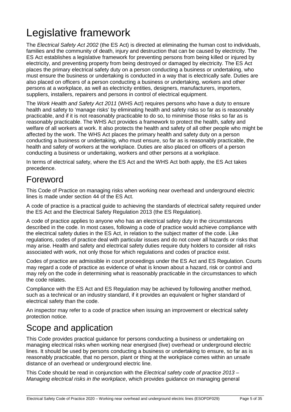# <span id="page-4-0"></span>Legislative framework

The *[Electrical Safety Act 2002](http://www.legislation.qld.gov.au/LEGISLTN/CURRENT/E/ElectricalSA02.pdf)* (the ES Act) is directed at eliminating the human cost to individuals, families and the community of death, injury and destruction that can be caused by electricity. The ES Act establishes a legislative framework for preventing persons from being killed or injured by electricity, and preventing property from being destroyed or damaged by electricity. The ES Act places the primary electrical safety duty on a person conducting a business or undertaking, who must ensure the business or undertaking is conducted in a way that is electrically safe. Duties are also placed on officers of a person conducting a business or undertaking, workers and other persons at a workplace, as well as electricity entities, designers, manufacturers, importers, suppliers, installers, repairers and persons in control of [electrical equipment.](http://www.deir.qld.gov.au/electricalsafety/law/codes/rural/dictionary/index.htm#equipment)

The *Work Health and Safety Act 2011* (WHS Act) requires persons who have a duty to ensure health and safety to 'manage risks' by eliminating health and safety risks so far as is reasonably practicable, and if it is not reasonably practicable to do so, to minimise those risks so far as is reasonably practicable. The WHS Act provides a framework to protect the health, safety and welfare of all workers at work. It also protects the health and safety of all other people who might be affected by the work. The WHS Act places the primary health and safety duty on a person conducting a business or undertaking, who must ensure, so far as is reasonably practicable, the health and safety of workers at the workplace. Duties are also placed on officers of a person conducting a business or undertaking, workers and other persons at a workplace.

In terms of electrical safety, where the ES Act and the WHS Act both apply, the ES Act takes precedence.

### <span id="page-4-1"></span>Foreword

This Code of Practice on managing risks when working near overhead and underground electric lines is made under section 44 of the ES Act.

A code of practice is a practical guide to achieving the standards of electrical safety required under the ES Act and the Electrical Safety Regulation 2013 (the ES Regulation).

A code of practice applies to anyone who has an electrical safety duty in the circumstances described in the code. In most cases, following a code of practice would achieve compliance with the electrical safety duties in the ES Act, in relation to the subject matter of the code. Like regulations, codes of practice deal with particular issues and do not cover all hazards or risks that may arise. Health and safety and electrical safety duties require duty holders to consider all risks associated with work, not only those for which regulations and codes of practice exist.

Codes of practice are admissible in court proceedings under the ES Act and ES Regulation. Courts may regard a code of practice as evidence of what is known about a hazard, risk or control and may rely on the code in determining what is reasonably practicable in the circumstances to which the code relates.

Compliance with the ES Act and ES Regulation may be achieved by following another method, such as a technical or an industry standard, if it provides an equivalent or higher standard of electrical safety than the code.

An inspector may refer to a code of practice when issuing an improvement or electrical safety protection notice.

### <span id="page-4-2"></span>Scope and application

This Code provides practical guidance for persons conducting a business or undertaking on managing electrical risks when working near energised (live) overhead or underground electric lines. It should be used by persons conducting a business or undertaking to ensure, so far as is reasonably practicable, that no person, plant or thing at the workplace comes within an unsafe distance of an overhead or underground electric line.

This Code should be read in conjunction with the *Electrical safety code of practice 2013 – Managing electrical risks in the workplace*, which provides guidance on managing general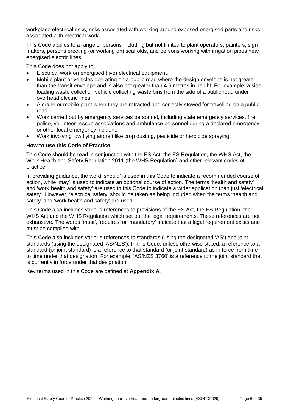workplace electrical risks, risks associated with working around exposed energised parts and risks associated with electrical work.

This Code applies to a range of persons including but not limited to plant operators, painters, sign makers, persons erecting (or working on) scaffolds, and persons working with irrigation pipes near energised electric lines.

This Code does not apply to:

- Electrical work on energised (live) electrical equipment.
- Mobile plant or vehicles operating on a public road where the design envelope is not greater than the transit envelope and is also not greater than 4.6 metres in height. For example, a side loading waste collection vehicle collecting waste bins from the side of a public road under overhead electric lines.
- A crane or mobile plant when they are retracted and correctly stowed for travelling on a public road.
- Work carried out by emergency services personnel, including state emergency services, fire, police, volunteer rescue associations and ambulance personnel during a declared emergency or other local emergency incident.
- Work involving low flying aircraft like crop dusting, pesticide or herbicide spraying.

#### <span id="page-5-0"></span>**How to use this Code of Practice**

This Code should be read in conjunction with the ES Act, the ES Regulation, the WHS Act, the Work Health and Safety Regulation 2011 (the WHS Regulation) and other relevant codes of practice.

In providing guidance, the word 'should' is used in this Code to indicate a recommended course of action, while 'may' is used to indicate an optional course of action. The terms 'health and safety' and 'work health and safety' are used in this Code to indicate a wider application than just 'electrical safety'. However, 'electrical safety' should be taken as being included when the terms 'health and safety' and 'work health and safety' are used.

This Code also includes various references to provisions of the ES Act, the ES Regulation, the WHS Act and the WHS Regulation which set out the legal requirements. These references are not exhaustive. The words 'must', 'requires' or 'mandatory' indicate that a legal requirement exists and must be complied with.

This Code also includes various references to standards (using the designated 'AS') and joint standards (using the designated 'AS/NZS'). In this Code, unless otherwise stated, a reference to a standard (or joint standard) is a reference to that standard (or joint standard) as in force from time to time under that designation. For example, 'AS/NZS 3760' is a reference to the joint standard that is currently in force under that designation.

Key terms used in this Code are defined at **Appendix A**.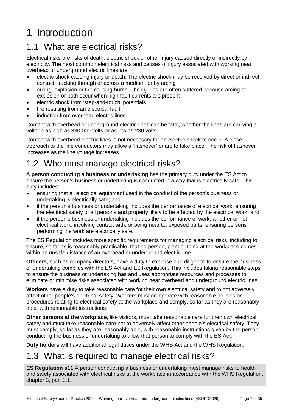# <span id="page-6-0"></span>1 Introduction

### <span id="page-6-1"></span>1.1 What are electrical risks?

Electrical risks are risks of death, electric shock or other injury caused directly or indirectly by electricity. The most common electrical risks and causes of injury associated with working near overhead or underground electric lines are:

- electric shock causing injury or death. The electric shock may be received by direct or indirect contact, tracking through or across a medium, or by arcing
- arcing, explosion or fire causing burns. The injuries are often suffered because arcing or explosion or both occur when high fault currents are present
- electric shock from 'step-and-touch' potentials
- fire resulting from an electrical fault
- induction from overhead electric lines.

Contact with overhead or underground electric lines can be fatal, whether the lines are carrying a voltage as high as 330,000 volts or as low as 230 volts.

Contact with overhead electric lines is not necessary for an electric shock to occur. A close approach to the line conductors may allow a 'flashover' or arc to take place. The risk of flashover increases as the line voltage increases.

### <span id="page-6-2"></span>1.2 Who must manage electrical risks?

A **person conducting a business or undertaking** has the primary duty under the ES Act to ensure the person's business or undertaking is conducted in a way that is electrically safe. This duty includes:

- ensuring that all electrical equipment used in the conduct of the person's business or undertaking is electrically safe; and
- if the person's business or undertaking includes the performance of electrical work, ensuring the electrical safety of all persons and property likely to be affected by the electrical work; and
- if the person's business or undertaking includes the performance of work, whether or not electrical work, involving contact with, or being near to, exposed parts, ensuring persons performing the work are electrically safe.

The ES Regulation includes more specific requirements for managing electrical risks, including to ensure, so far as is reasonably practicable, that no person, plant or thing at the workplace comes within an unsafe distance of an overhead or underground electric line.

**Officers**, such as company directors, have a duty to exercise due diligence to ensure the business or undertaking complies with the ES Act and ES Regulation. This includes taking reasonable steps to ensure the business or undertaking has and uses appropriate resources and processes to eliminate or minimise risks associated with working near overhead and underground electric lines.

**Workers** have a duty to take reasonable care for their own electrical safety and to not adversely affect other people's electrical safety. Workers must co-operate with reasonable policies or procedures relating to electrical safety at the workplace and comply, so far as they are reasonably able, with reasonable instructions.

**Other persons at the workplace**, like visitors, must take reasonable care for their own electrical safety and must take reasonable care not to adversely affect other people's electrical safety. They must comply, so far as they are reasonably able, with reasonable instructions given by the person conducting the business or undertaking to allow that person to comply with the ES Act.

**Duty holders** will have additional legal duties under the WHS Act and the WHS Regulation.

### <span id="page-6-3"></span>1.3 What is required to manage electrical risks?

**ES Regulation s11** A person conducting a business or undertaking must manage risks to health and safety associated with electrical risks at the workplace in accordance with the WHS Regulation, chapter 3, part 3.1.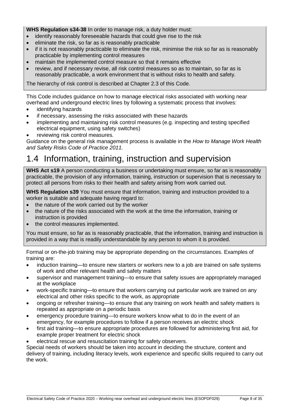**WHS Regulation s34-38** In order to manage risk, a duty holder must:

- identify reasonably foreseeable hazards that could give rise to the risk
- eliminate the risk, so far as is reasonably practicable
- if it is not reasonably practicable to eliminate the risk, minimise the risk so far as is reasonably practicable by implementing control measures
- maintain the implemented control measure so that it remains effective
- review, and if necessary revise, all risk control measures so as to maintain, so far as is reasonably practicable, a work environment that is without risks to health and safety.

The hierarchy of risk control is described at Chapter 2.3 of this Code.

This Code includes guidance on how to manage electrical risks associated with working near overhead and underground electric lines by following a systematic process that involves:

- identifying hazards
- if necessary, assessing the risks associated with these hazards
- implementing and maintaining risk control measures (e.g. inspecting and testing specified electrical equipment, using safety switches)
- reviewing risk control measures.

Guidance on the general risk management process is available in the *How to Manage Work Health and Safety Risks Code of Practice 2011.*

### <span id="page-7-0"></span>1.4 Information, training, instruction and supervision

**WHS Act s19** A person conducting a business or undertaking must ensure, so far as is reasonably practicable, the provision of any information, training, instruction or supervision that is necessary to protect all persons from risks to their health and safety arising from work carried out.

**WHS Regulation s39** You must ensure that information, training and instruction provided to a worker is suitable and adequate having regard to:

- the nature of the work carried out by the worker
- the nature of the risks associated with the work at the time the information, training or instruction is provided
- the control measures implemented.

You must ensure, so far as is reasonably practicable, that the information, training and instruction is provided in a way that is readily understandable by any person to whom it is provided.

Formal or on-the-job training may be appropriate depending on the circumstances. Examples of training are:

- induction training—to ensure new starters or workers new to a job are trained on safe systems of work and other relevant health and safety matters
- supervisor and management training—to ensure that safety issues are appropriately managed at the workplace
- work-specific training—to ensure that workers carrying out particular work are trained on any electrical and other risks specific to the work, as appropriate
- ongoing or refresher training—to ensure that any training on work health and safety matters is repeated as appropriate on a periodic basis
- emergency procedure training—to ensure workers know what to do in the event of an emergency, for example procedures to follow if a person receives an electric shock
- first aid training—to ensure appropriate procedures are followed for administering first aid, for example proper treatment for electric shock
- electrical rescue and resuscitation training for safety observers.

Special needs of workers should be taken into account in deciding the structure, content and delivery of training, including literacy levels, work experience and specific skills required to carry out the work.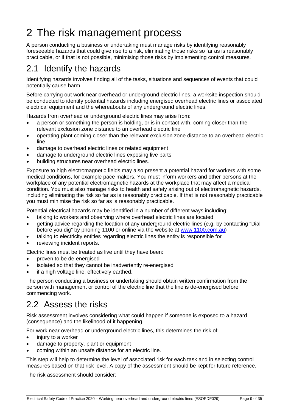# <span id="page-8-0"></span>2 The risk management process

A person conducting a business or undertaking must manage risks by identifying reasonably foreseeable hazards that could give rise to a risk, eliminating those risks so far as is reasonably practicable, or if that is not possible, minimising those risks by implementing control measures.

### <span id="page-8-1"></span>2.1 Identify the hazards

Identifying hazards involves finding all of the tasks, situations and sequences of events that could potentially cause harm.

Before carrying out work near overhead or underground electric lines, a worksite inspection should be conducted to identify potential hazards including energised overhead electric lines or associated electrical equipment and the whereabouts of any underground electric lines.

Hazards from overhead or underground electric lines may arise from:

- a person or something the person is holding, or is in contact with, coming closer than the relevant exclusion zone distance to an overhead electric line
- operating plant coming closer than the relevant exclusion zone distance to an overhead electric line
- damage to overhead electric lines or related equipment
- damage to underground electric lines exposing live parts
- building structures near overhead electric lines.

Exposure to high electromagnetic fields may also present a potential hazard for workers with some medical conditions, for example pace makers. You must inform workers and other persons at the workplace of any potential electromagnetic hazards at the workplace that may affect a medical condition. You must also manage risks to health and safety arising out of electromagnetic hazards, including eliminating the risk so far as is reasonably practicable. If that is not reasonably practicable you must minimise the risk so far as is reasonably practicable.

Potential electrical hazards may be identified in a number of different ways including:

- talking to workers and observing where overhead electric lines are located
- getting advice regarding the location of any underground electric lines (e.g. by contacting "Dial before you dig" by phoning 1100 or online via the website at [www.1100.com.au\)](http://www.1100.com.au/)
- talking to electricity entities regarding electric lines the entity is responsible for
- reviewing incident reports.

Electric lines must be treated as live until they have been:

- proven to be de-energised
- isolated so that they cannot be inadvertently re-energised
- if a high voltage line, effectively earthed.

The person conducting a business or undertaking should obtain written confirmation from the person with management or control of the electric line that the line is de-energised before commencing work.

### <span id="page-8-2"></span>2.2 Assess the risks

Risk assessment involves considering what could happen if someone is exposed to a hazard (consequence) and the likelihood of it happening.

For work near overhead or underground electric lines, this determines the risk of:

- injury to a worker
- damage to property, plant or equipment
- coming within an unsafe distance for an electric line.

This step will help to determine the level of associated risk for each task and in selecting control measures based on that risk level. A copy of the assessment should be kept for future reference.

The risk assessment should consider: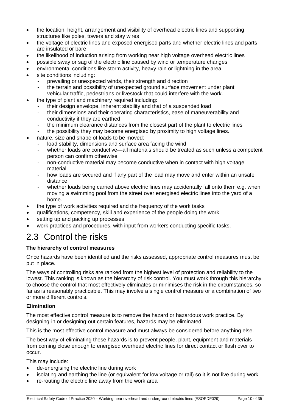- the location, height, arrangement and visibility of overhead electric lines and supporting structures like poles, towers and stay wires
- the voltage of electric lines and exposed energised parts and whether electric lines and parts are insulated or bare
- the likelihood of induction arising from working near high voltage overhead electric lines
- possible sway or sag of the electric line caused by wind or temperature changes
- environmental conditions like storm activity, heavy rain or lightning in the area
- site conditions including:
	- prevailing or unexpected winds, their strength and direction
	- the terrain and possibility of unexpected ground surface movement under plant
	- vehicular traffic, pedestrians or livestock that could interfere with the work.
- the type of plant and machinery required including:
	- their design envelope, inherent stability and that of a suspended load
	- their dimensions and their operating characteristics, ease of maneuverability and conductivity if they are earthed
	- the minimum clearance distances from the closest part of the plant to electric lines
	- the possibility they may become energised by proximity to high voltage lines.
- nature, size and shape of loads to be moved:
	- load stability, dimensions and surface area facing the wind
	- whether loads are conductive—all materials should be treated as such unless a competent person can confirm otherwise
	- non-conductive material may become conductive when in contact with high voltage material
	- how loads are secured and if any part of the load may move and enter within an unsafe distance
	- whether loads being carried above electric lines may accidentally fall onto them e.g. when moving a swimming pool from the street over energised electric lines into the yard of a home.
- the type of work activities required and the frequency of the work tasks
- qualifications, competency, skill and experience of the people doing the work
- setting up and packing up processes
- work practices and procedures, with input from workers conducting specific tasks.

### <span id="page-9-0"></span>2.3 Control the risks

#### **The hierarchy of control measures**

Once hazards have been identified and the risks assessed, appropriate control measures must be put in place.

The ways of controlling risks are ranked from the highest level of protection and reliability to the lowest. This ranking is known as the hierarchy of risk control. You must work through this hierarchy to choose the control that most effectively eliminates or minimises the risk in the circumstances, so far as is reasonably practicable. This may involve a single control measure or a combination of two or more different controls.

#### **Elimination**

The most effective control measure is to remove the hazard or hazardous work practice. By designing-in or designing-out certain features, hazards may be eliminated.

This is the most effective control measure and must always be considered before anything else.

The best way of eliminating these hazards is to prevent people, plant, equipment and materials from coming close enough to energised overhead electric lines for direct contact or flash over to occur.

This may include:

- de-energising the electric line during work
- isolating and earthing the line (or equivalent for low voltage or rail) so it is not live during work
- re-routing the electric line away from the work area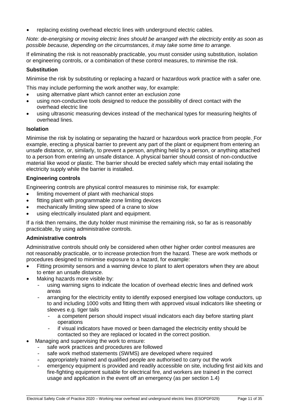• replacing existing overhead electric lines with underground electric cables.

*Note: de-energising or moving electric lines should be arranged with the electricity entity as soon as possible because, depending on the circumstances, it may take some time to arrange.*

If eliminating the risk is not reasonably practicable, you must consider using substitution, isolation or engineering controls, or a combination of these control measures, to minimise the risk.

#### **Substitution**

Minimise the risk by substituting or replacing a hazard or hazardous work practice with a safer one.

This may include performing the work another way, for example:

- using alternative plant which cannot enter an exclusion zone
- using non-conductive tools designed to reduce the possibility of direct contact with the overhead electric line
- using ultrasonic measuring devices instead of the mechanical types for measuring heights of overhead lines.

#### **Isolation**

Minimise the risk by isolating or separating the hazard or hazardous work practice from people. For example, erecting a physical barrier to prevent any part of the plant or equipment from entering an unsafe distance, or, similarly, to prevent a person, anything held by a person, or anything attached to a person from entering an unsafe distance. A physical barrier should consist of non-conductive material like wood or plastic. The barrier should be erected safely which may entail isolating the electricity supply while the barrier is installed.

#### **Engineering controls**

Engineering controls are physical control measures to minimise risk, for example:

- limiting movement of plant with mechanical stops
- fitting plant with programmable zone limiting devices
- mechanically limiting slew speed of a crane to slow
- using electrically insulated plant and equipment.

If a risk then remains, the duty holder must minimise the remaining risk, so far as is reasonably practicable, by using administrative controls.

#### **Administrative controls**

Administrative controls should only be considered when other higher order control measures are not reasonably practicable, or to increase protection from the hazard. These are work methods or procedures designed to minimise exposure to a hazard, for example:

- Fitting proximity sensors and a warning device to plant to alert operators when they are about to enter an unsafe distance.
- Making hazards more visible by:
	- using warning signs to indicate the location of overhead electric lines and defined work areas
	- arranging for the electricity entity to identify exposed energised low voltage conductors, up to and including 1000 volts and fitting them with approved visual indicators like sheeting or sleeves e.g. tiger tails
		- a competent person should inspect visual indicators each day before starting plant operations
		- if visual indicators have moved or been damaged the electricity entity should be contacted so they are replaced or located in the correct position.
- Managing and supervising the work to ensure:
	- safe work practices and procedures are followed
	- safe work method statements (SWMS) are developed where required
	- appropriately trained and qualified people are authorised to carry out the work
	- emergency equipment is provided and readily accessible on site, including first aid kits and fire-fighting equipment suitable for electrical fire, and workers are trained in the correct usage and application in the event off an emergency (as per section 1.4)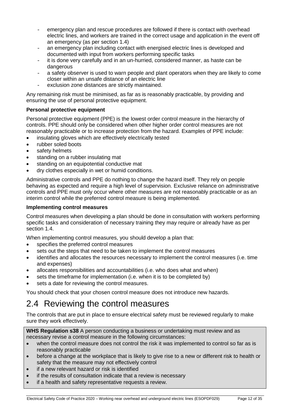- emergency plan and rescue procedures are followed if there is contact with overhead electric lines, and workers are trained in the correct usage and application in the event off an emergency (as per section 1.4)
- an emergency plan including contact with energised electric lines is developed and documented with input from workers performing specific tasks
- it is done very carefully and in an un-hurried, considered manner, as haste can be dangerous
- a safety observer is used to warn people and plant operators when they are likely to come closer within an unsafe distance of an electric line
- exclusion zone distances are strictly maintained.

Any remaining risk must be minimised, as far as is reasonably practicable, by providing and ensuring the use of personal protective equipment.

#### **Personal protective equipment**

Personal protective equipment (PPE) is the lowest order control measure in the hierarchy of controls. PPE should only be considered when other higher order control measures are not reasonably practicable or to increase protection from the hazard. Examples of PPE include:

- insulating gloves which are effectively electrically tested
- rubber soled boots
- safety helmets
- standing on a rubber insulating mat
- standing on an equipotential conductive mat
- dry clothes especially in wet or humid conditions.

Administrative controls and PPE do nothing to change the hazard itself. They rely on people behaving as expected and require a high level of supervision. Exclusive reliance on administrative controls and PPE must only occur where other measures are not reasonably practicable or as an interim control while the preferred control measure is being implemented.

#### **Implementing control measures**

Control measures when developing a plan should be done in consultation with workers performing specific tasks and consideration of necessary training they may require or already have as per section 1.4.

When implementing control measures, you should develop a plan that:

- specifies the preferred control measures
- sets out the steps that need to be taken to implement the control measures
- identifies and allocates the resources necessary to implement the control measures (i.e. time and expenses)
- allocates responsibilities and accountabilities (i.e. who does what and when)
- sets the timeframe for implementation (i.e. when it is to be completed by)
- sets a date for reviewing the control measures.

You should check that your chosen control measure does not introduce new hazards.

### <span id="page-11-0"></span>2.4 Reviewing the control measures

The controls that are put in place to ensure electrical safety must be reviewed regularly to make sure they work effectively.

**WHS Regulation s38** A person conducting a business or undertaking must review and as necessary revise a control measure in the following circumstances:

- when the control measure does not control the risk it was implemented to control so far as is reasonably practicable
- before a change at the workplace that is likely to give rise to a new or different risk to health or safety that the measure may not effectively control
- if a new relevant hazard or risk is identified
- if the results of consultation indicate that a review is necessary
- if a health and safety representative requests a review.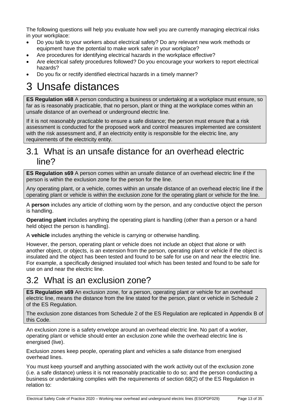The following questions will help you evaluate how well you are currently managing electrical risks in your workplace:

- Do you talk to your workers about electrical safety? Do any relevant new work methods or equipment have the potential to make work safer in your workplace?
- Are procedures for identifying electrical hazards in the workplace effective?
- Are electrical safety procedures followed? Do you encourage your workers to report electrical hazards?
- Do you fix or rectify identified electrical hazards in a timely manner?

## <span id="page-12-0"></span>3 Unsafe distances

**ES Regulation s68** A person conducting a business or undertaking at a workplace must ensure, so far as is reasonably practicable, that no person, plant or thing at the workplace comes within an unsafe distance of an overhead or underground electric line.

If it is not reasonably practicable to ensure a safe distance; the person must ensure that a risk assessment is conducted for the proposed work and control measures implemented are consistent with the risk assessment and, if an electricity entity is responsible for the electric line, any requirements of the electricity entity.

### <span id="page-12-1"></span>3.1 What is an unsafe distance for an overhead electric line?

**ES Regulation s69** A person comes within an unsafe distance of an overhead electric line if the person is within the exclusion zone for the person for the line.

Any operating plant, or a vehicle, comes within an unsafe distance of an overhead electric line if the operating plant or vehicle is within the exclusion zone for the operating plant or vehicle for the line.

A **person** includes any article of clothing worn by the person, and any conductive object the person is handling.

**Operating plant** includes anything the operating plant is handling (other than a person or a hand held object the person is handling).

A **vehicle** includes anything the vehicle is carrying or otherwise handling.

However, the person, operating plant or vehicle does not include an object that alone or with another object, or objects, is an extension from the person, operating plant or vehicle if the object is insulated and the object has been tested and found to be safe for use on and near the electric line. For example, a specifically designed insulated tool which has been tested and found to be safe for use on and near the electric line.

### <span id="page-12-2"></span>3.2 What is an exclusion zone?

**ES Regulation s69** An exclusion zone, for a person, operating plant or vehicle for an overhead electric line, means the distance from the line stated for the person, plant or vehicle in Schedule 2 of the ES Regulation.

The exclusion zone distances from Schedule 2 of the ES Regulation are replicated in Appendix B of this Code.

An exclusion zone is a safety envelope around an overhead electric line. No part of a worker, operating plant or vehicle should enter an exclusion zone while the overhead electric line is energised (live).

Exclusion zones keep people, operating plant and vehicles a safe distance from energised overhead lines.

You must keep yourself and anything associated with the work activity out of the exclusion zone (i.e. a safe distance) unless it is not reasonably practicable to do so; and the person conducting a business or undertaking complies with the requirements of section 68(2) of the ES Regulation in relation to: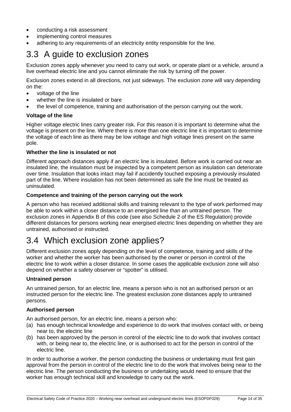- conducting a risk assessment
- implementing control measures
- adhering to any requirements of an electricity entity responsible for the line.

### <span id="page-13-0"></span>3.3 A guide to exclusion zones

Exclusion zones apply whenever you need to carry out work, or operate plant or a vehicle, around a live overhead electric line and you cannot eliminate the risk by turning off the power.

Exclusion zones extend in all directions, not just sideways. The exclusion zone will vary depending on the:

- voltage of the line
- whether the line is insulated or bare
- the level of competence, training and authorisation of the person carrying out the work.

#### **Voltage of the line**

Higher voltage electric lines carry greater risk. For this reason it is important to determine what the voltage is present on the line. Where there is more than one electric line it is important to determine the voltage of each line as there may be low voltage and high voltage lines present on the same pole.

#### **Whether the line is insulated or not**

Different approach distances apply if an electric line is insulated. Before work is carried out near an insulated line, the insulation must be inspected by a competent person as insulation can deteriorate over time. Insulation that looks intact may fail if accidently touched exposing a previously insulated part of the line. Where insulation has not been determined as safe the line must be treated as uninsulated.

#### **Competence and training of the person carrying out the work**

A person who has received additional skills and training relevant to the type of work performed may be able to work within a closer distance to an energised line than an untrained person. The exclusion zones in Appendix B of this code (see also Schedule 2 of the ES Regulation) provide different distances for persons working near energised electric lines depending on whether they are untrained, authorised or instructed.

### <span id="page-13-1"></span>3.4 Which exclusion zone applies?

Different exclusion zones apply depending on the level of competence, training and skills of the worker and whether the worker has been authorised by the owner or person in control of the electric line to work within a closer distance. In some cases the applicable exclusion zone will also depend on whether a safety observer or "spotter" is utilised.

#### **Untrained person**

An untrained person, for an electric line, means a person who is not an authorised person or an instructed person for the electric line. The greatest exclusion zone distances apply to untrained persons.

#### **Authorised person**

An authorised person, for an electric line, means a person who:

- (a) has enough technical knowledge and experience to do work that involves contact with, or being near to, the electric line
- (b) has been approved by the person in control of the electric line to do work that involves contact with, or being near to, the electric line, or is authorised to act for the person in control of the electric line.

In order to authorise a worker, the person conducting the business or undertaking must first gain approval from the person in control of the electric line to do the work that involves being near to the electric line. The person conducting the business or undertaking would need to ensure that the worker has enough technical skill and knowledge to carry out the work.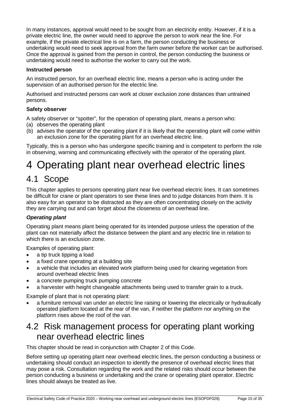In many instances, approval would need to be sought from an electricity entity. However, if it is a private electric line, the owner would need to approve the person to work near the line. For example, if the private electrical line is on a farm, the person conducting the business or undertaking would need to seek approval from the farm owner before the worker can be authorised. Once the approval is gained from the person in control, the person conducting the business or undertaking would need to authorise the worker to carry out the work.

#### **Instructed person**

An instructed person, for an overhead electric line, means a person who is acting under the supervision of an authorised person for the electric line.

Authorised and instructed persons can work at closer exclusion zone distances than untrained persons.

#### **Safety observer**

A safety observer or "spotter", for the operation of operating plant, means a person who:

- (a) observes the operating plant
- (b) advises the operator of the operating plant if it is likely that the operating plant will come within an exclusion zone for the operating plant for an overhead electric line.

Typically, this is a person who has undergone specific training and is competent to perform the role in observing, warning and communicating effectively with the operator of the operating plant.

# <span id="page-14-0"></span>4 Operating plant near overhead electric lines

### <span id="page-14-1"></span>4.1 Scope

This chapter applies to persons operating plant near live overhead electric lines. It can sometimes be difficult for crane or plant operators to see these lines and to judge distances from them. It is also easy for an operator to be distracted as they are often concentrating closely on the activity they are carrying out and can forget about the closeness of an overhead line.

#### *Operating plant*

Operating plant means plant being operated for its intended purpose unless the operation of the plant can not materially affect the distance between the plant and any electric line in relation to which there is an exclusion zone.

Examples of operating plant:

- a tip truck tipping a load
- a fixed crane operating at a building site
- a vehicle that includes an elevated work platform being used for clearing vegetation from around overhead electric lines
- a concrete pumping truck pumping concrete
- a harvester with height changeable attachments being used to transfer grain to a truck.

Example of plant that is not operating plant:

• a furniture removal van under an electric line raising or lowering the electrically or hydraulically operated platform located at the rear of the van, if neither the platform nor anything on the platform rises above the roof of the van.

### <span id="page-14-2"></span>4.2 Risk management process for operating plant working near overhead electric lines

This chapter should be read in conjunction with Chapter 2 of this Code.

Before setting up operating plant near overhead electric lines, the person conducting a business or undertaking should conduct an inspection to identify the presence of overhead electric lines that may pose a risk. Consultation regarding the work and the related risks should occur between the person conducting a business or undertaking and the crane or operating plant operator. Electric lines should always be treated as live.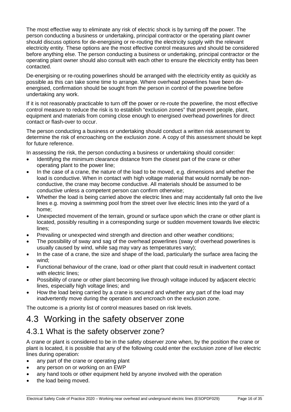The most effective way to eliminate any risk of electric shock is by turning off the power. The person conducting a business or undertaking, principal contractor or the operating plant owner should discuss options for de-energising or re-routing the electricity supply with the relevant electricity entity. These options are the most effective control measures and should be considered before anything else. The person conducting a business or undertaking, principal contractor or the operating plant owner should also consult with each other to ensure the electricity entity has been contacted.

De-energising or re-routing powerlines should be arranged with the electricity entity as quickly as possible as this can take some time to arrange. Where overhead powerlines have been deenergised, confirmation should be sought from the person in control of the powerline before undertaking any work.

If it is not reasonably practicable to turn off the power or re-route the powerline, the most effective control measure to reduce the risk is to establish "exclusion zones" that prevent people, plant, equipment and materials from coming close enough to energised overhead powerlines for direct contact or flash-over to occur.

The person conducting a business or undertaking should conduct a written risk assessment to determine the risk of encroaching on the exclusion zone. A copy of this assessment should be kept for future reference.

In assessing the risk, the person conducting a business or undertaking should consider:

- Identifying the minimum clearance distance from the closest part of the crane or other operating plant to the power line;
- In the case of a crane, the nature of the load to be moved, e.g. dimensions and whether the load is conductive. When in contact with high voltage material that would normally be nonconductive, the crane may become conductive. All materials should be assumed to be conductive unless a competent person can confirm otherwise;
- Whether the load is being carried above the electric lines and may accidentally fall onto the live lines e.g. moving a swimming pool from the street over live electric lines into the yard of a home;
- Unexpected movement of the terrain, ground or surface upon which the crane or other plant is located, possibly resulting in a corresponding surge or sudden movement towards live electric lines;
- Prevailing or unexpected wind strength and direction and other weather conditions;
- The possibility of sway and sag of the overhead powerlines (sway of overhead powerlines is usually caused by wind, while sag may vary as temperatures vary);
- In the case of a crane, the size and shape of the load, particularly the surface area facing the wind;
- Functional behaviour of the crane, load or other plant that could result in inadvertent contact with electric lines;
- Possibility of crane or other plant becoming live through voltage induced by adjacent electric lines, especially high voltage lines; and
- How the load being carried by a crane is secured and whether any part of the load may inadvertently move during the operation and encroach on the exclusion zone.

The outcome is a priority list of control measures based on risk levels.

### <span id="page-15-0"></span>4.3 Working in the safety observer zone

#### <span id="page-15-1"></span>4.3.1 What is the safety observer zone?

A crane or plant is considered to be in the safety observer zone when, by the position the crane or plant is located, it is possible that any of the following could enter the exclusion zone of live electric lines during operation:

- any part of the crane or operating plant
- any person on or working on an EWP
- any hand tools or other equipment held by anyone involved with the operation
- the load being moved.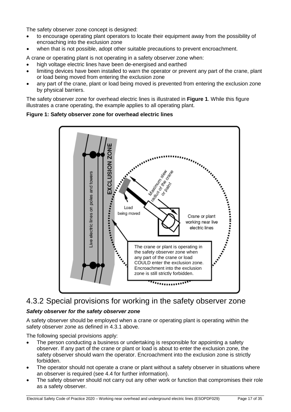The safety observer zone concept is designed:

- to encourage operating plant operators to locate their equipment away from the possibility of encroaching into the exclusion zone
- when that is not possible, adopt other suitable precautions to prevent encroachment.

A crane or operating plant is not operating in a safety observer zone when:

- high voltage electric lines have been de-energised and earthed
- limiting devices have been installed to warn the operator or prevent any part of the crane, plant or load being moved from entering the exclusion zone
- any part of the crane, plant or load being moved is prevented from entering the exclusion zone by physical barriers.

The safety observer zone for overhead electric lines is illustrated in **Figure 1**. While this figure illustrates a crane operating, the example applies to all operating plant.

**Figure 1: Safety observer zone for overhead electric lines**



#### <span id="page-16-0"></span>4.3.2 Special provisions for working in the safety observer zone

#### *Safety observer for the safety observer zone*

A safety observer should be employed when a crane or operating plant is operating within the safety observer zone as defined in 4.3.1 above.

The following special provisions apply:

- The person conducting a business or undertaking is responsible for appointing a safety observer. If any part of the crane or plant or load is about to enter the exclusion zone, the safety observer should warn the operator. Encroachment into the exclusion zone is strictly forbidden.
- The operator should not operate a crane or plant without a safety observer in situations where an observer is required (see 4.4 for further information).
- The safety observer should not carry out any other work or function that compromises their role as a safety observer.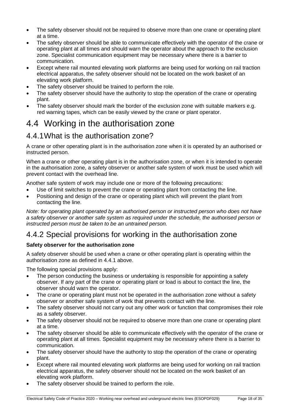- The safety observer should not be required to observe more than one crane or operating plant at a time.
- The safety observer should be able to communicate effectively with the operator of the crane or operating plant at all times and should warn the operator about the approach to the exclusion zone. Specialist communication equipment may be necessary where there is a barrier to communication.
- Except where rail mounted elevating work platforms are being used for working on rail traction electrical apparatus, the safety observer should not be located on the work basket of an elevating work platform.
- The safety observer should be trained to perform the role.
- The safety observer should have the authority to stop the operation of the crane or operating plant.
- The safety observer should mark the border of the exclusion zone with suitable markers e.g. red warning tapes, which can be easily viewed by the crane or plant operator.

### <span id="page-17-0"></span>4.4 Working in the authorisation zone

#### <span id="page-17-1"></span>4.4.1What is the authorisation zone?

A crane or other operating plant is in the authorisation zone when it is operated by an authorised or instructed person.

When a crane or other operating plant is in the authorisation zone, or when it is intended to operate in the authorisation zone, a safety observer or another safe system of work must be used which will prevent contact with the overhead line.

Another safe system of work may include one or more of the following precautions:

- Use of limit switches to prevent the crane or operating plant from contacting the line.
- Positioning and design of the crane or operating plant which will prevent the plant from contacting the line.

*Note: for operating plant operated by an authorised person or instructed person who does not have a safety observer or another safe system as required under the schedule, the authorised person or instructed person must be taken to be an untrained person.*

### <span id="page-17-2"></span>4.4.2 Special provisions for working in the authorisation zone

#### **Safety observer for the authorisation zone**

A safety observer should be used when a crane or other operating plant is operating within the authorisation zone as defined in 4.4.1 above.

The following special provisions apply:

- The person conducting the business or undertaking is responsible for appointing a safety observer. If any part of the crane or operating plant or load is about to contact the line, the observer should warn the operator.
- The crane or operating plant must not be operated in the authorisation zone without a safety observer or another safe system of work that prevents contact with the line.
- The safety observer should not carry out any other work or function that compromises their role as a safety observer.
- The safety observer should not be required to observe more than one crane or operating plant at a time.
- The safety observer should be able to communicate effectively with the operator of the crane or operating plant at all times. Specialist equipment may be necessary where there is a barrier to communication.
- The safety observer should have the authority to stop the operation of the crane or operating plant.
- Except where rail mounted elevating work platforms are being used for working on rail traction electrical apparatus, the safety observer should not be located on the work basket of an elevating work platform.
- The safety observer should be trained to perform the role.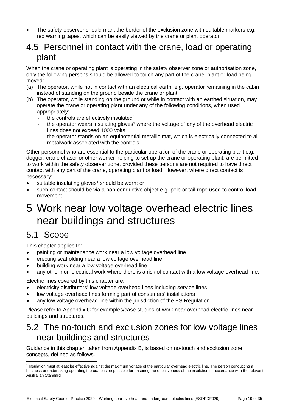The safety observer should mark the border of the exclusion zone with suitable markers e.g. red warning tapes, which can be easily viewed by the crane or plant operator.

### <span id="page-18-0"></span>4.5 Personnel in contact with the crane, load or operating plant

When the crane or operating plant is operating in the safety observer zone or authorisation zone, only the following persons should be allowed to touch any part of the crane, plant or load being moved:

- (a) The operator, while not in contact with an electrical earth, e.g. operator remaining in the cabin instead of standing on the ground beside the crane or plant.
- (b) The operator, while standing on the ground or while in contact with an earthed situation, may operate the crane or operating plant under any of the following conditions, when used appropriately:
	- the controls are effectively insulated<sup>[1](#page-18-4)</sup>
	- the operator wears insulating gloves<sup>1</sup> where the voltage of any of the overhead electric lines does not exceed 1000 volts
	- the operator stands on an equipotential metallic mat, which is electrically connected to all metalwork associated with the controls.

Other personnel who are essential to the particular operation of the crane or operating plant e.g. dogger, crane chaser or other worker helping to set up the crane or operating plant, are permitted to work within the safety observer zone, provided these persons are not required to have direct contact with any part of the crane, operating plant or load. However, where direct contact is necessary:

- suitable insulating gloves<sup>1</sup> should be worn; or
- such contact should be via a non-conductive object e.g. pole or tail rope used to control load movement.

## <span id="page-18-1"></span>5 Work near low voltage overhead electric lines near buildings and structures

### <span id="page-18-2"></span>5.1 Scope

This chapter applies to:

- painting or maintenance work near a low voltage overhead line
- erecting scaffolding near a low voltage overhead line
- building work near a low voltage overhead line
- any other non-electrical work where there is a risk of contact with a low voltage overhead line.

Electric lines covered by this chapter are:

- electricity distributors' low voltage overhead lines including service lines
- low voltage overhead lines forming part of consumers' installations
- any low voltage overhead line within the jurisdiction of the ES Regulation.

Please refer to Appendix C for examples/case studies of work near overhead electric lines near buildings and structures.

### <span id="page-18-3"></span>5.2 The no-touch and exclusion zones for low voltage lines near buildings and structures

Guidance in this chapter, taken from Appendix B, is based on no-touch and exclusion zone concepts, defined as follows.

<span id="page-18-4"></span> <sup>1</sup> Insulation must at least be effective against the maximum voltage of the particular overhead electric line. The person conducting a business or undertaking operating the crane is responsible for ensuring the effectiveness of the insulation in accordance with the relevant Australian Standard.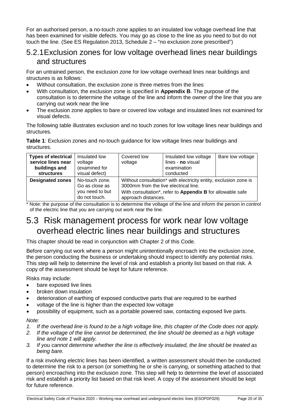For an authorised person, a no-touch zone applies to an insulated low voltage overhead line that has been examined for visible defects. You may go as close to the line as you need to but do not touch the line. (See ES Regulation 2013, Schedule 2 – "no exclusion zone prescribed")

#### <span id="page-19-0"></span>5.2.1Exclusion zones for low voltage overhead lines near buildings and structures

For an untrained person, the exclusion zone for low voltage overhead lines near buildings and structures is as follows:

- Without consultation, the exclusion zone is three metres from the lines
- With consultation, the exclusion zone is specified in **Appendix B**. The purpose of the consultation is to determine the voltage of the line and inform the owner of the line that you are carrying out work near the line
- The exclusion zone applies to bare or covered low voltage and insulated lines not examined for visual defects.

The following table illustrates exclusion and no touch zones for low voltage lines near buildings and structures.

**Table 1**: Exclusion zones and no-touch guidance for low voltage lines near buildings and structures.

| <b>Types of electrical</b><br>service lines near<br>buildings and<br><b>structures</b> | Insulated low<br>voltage<br>(examined for<br>visual defect)          | Covered low<br>voltage                                                                                                                                                                         | Insulated low voltage<br>lines - no visual<br>examination<br>conducted | Bare low voltage |
|----------------------------------------------------------------------------------------|----------------------------------------------------------------------|------------------------------------------------------------------------------------------------------------------------------------------------------------------------------------------------|------------------------------------------------------------------------|------------------|
| <b>Designated zones</b>                                                                | No-touch zone.<br>Go as close as<br>you need to but<br>do not touch. | Without consultation* with electricity entity, exclusion zone is<br>3000mm from the live electrical line.<br>With consultation*, refer to Appendix B for allowable safe<br>approach distances. |                                                                        |                  |

\* Note: the purpose of the consultation is to determine the voltage of the line and inform the person in control of the electric line that you are carrying out work near the line.

### <span id="page-19-1"></span>5.3 Risk management process for work near low voltage overhead electric lines near buildings and structures

This chapter should be read in conjunction with Chapter 2 of this Code.

Before carrying out work where a person might unintentionally encroach into the exclusion zone, the person conducting the business or undertaking should inspect to identify any potential risks. This step will help to determine the level of risk and establish a priority list based on that risk. A copy of the assessment should be kept for future reference.

Risks may include:

- bare exposed live lines
- broken down insulation
- deterioration of earthing of exposed conductive parts that are required to be earthed
- voltage of the line is higher than the expected low voltage
- possibility of equipment, such as a portable powered saw, contacting exposed live parts.

#### *Note:*

- *1. If the overhead line is found to be a high voltage line, this chapter of the Code does not apply.*
- *2. If the voltage of the line cannot be determined, the line should be deemed as a high voltage line and note 1 will apply.*
- *3. If you cannot determine whether the line is effectively insulated, the line should be treated as being bare.*

If a risk involving electric lines has been identified, a written assessment should then be conducted to determine the risk to a person (or something he or she is carrying, or something attached to that person) encroaching into the exclusion zone. This step will help to determine the level of associated risk and establish a priority list based on that risk level. A copy of the assessment should be kept for future reference.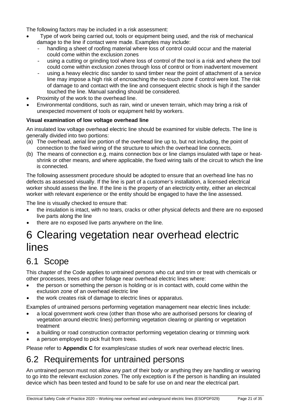The following factors may be included in a risk assessment:

- Type of work being carried out, tools or equipment being used, and the risk of mechanical damage to the line if contact were made. Examples may include:
	- handling a sheet of roofing material where loss of control could occur and the material could come within the exclusion zones
	- using a cutting or grinding tool where loss of control of the tool is a risk and where the tool could come within exclusion zones through loss of control or from inadvertent movement
	- using a heavy electric disc sander to sand timber near the point of attachment of a service line may impose a high risk of encroaching the no-touch zone if control were lost. The risk of damage to and contact with the line and consequent electric shock is high if the sander touched the line. Manual sanding should be considered.
- Proximity of the work to the overhead line.
- Environmental conditions, such as rain, wind or uneven terrain, which may bring a risk of unexpected movement of tools or equipment held by workers.

#### **Visual examination of low voltage overhead line**

An insulated low voltage overhead electric line should be examined for visible defects. The line is generally divided into two portions:

- (a) The overhead, aerial line portion of the overhead line up to, but not including, the point of connection to the fixed wiring of the structure to which the overhead line connects.
- (b) The means of connection e.g. mains connection box or line clamps insulated with tape or heatshrink or other means, and where applicable, the fixed wiring tails of the circuit to which the line is connected.

The following assessment procedure should be adopted to ensure that an overhead line has no defects as assessed visually. If the line is part of a customer's installation, a licensed electrical worker should assess the line. If the line is the property of an electricity entity, either an electrical worker with relevant experience or the entity should be engaged to have the line assessed.

The line is visually checked to ensure that:

- the insulation is intact, with no tears, cracks or other physical defects and there are no exposed live parts along the line
- there are no exposed live parts anywhere on the line.

## <span id="page-20-0"></span>6 Clearing vegetation near overhead electric lines

### <span id="page-20-1"></span>6.1 Scope

This chapter of the Code applies to untrained persons who cut and trim or treat with chemicals or other processes, trees and other foliage near overhead electric lines where:

- the person or something the person is holding or is in contact with, could come within the exclusion zone of an overhead electric line
- the work creates risk of damage to electric lines or apparatus.

Examples of untrained persons performing vegetation management near electric lines include:

- a local government work crew (other than those who are authorised persons for clearing of vegetation around electric lines) performing vegetation clearing or planting or vegetation treatment
- a building or road construction contractor performing vegetation clearing or trimming work
- a person employed to pick fruit from trees.

Please refer to **Appendix C** for examples/case studies of work near overhead electric lines.

### <span id="page-20-2"></span>6.2 Requirements for untrained persons

An untrained person must not allow any part of their body or anything they are handling or wearing to go into the relevant exclusion zones. The only exception is if the person is handling an insulated device which has been tested and found to be safe for use on and near the electrical part.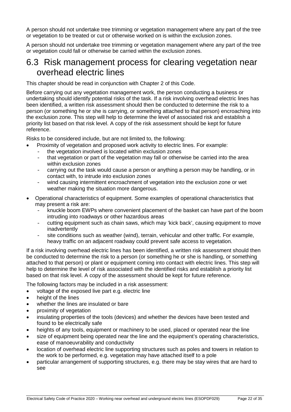A person should not undertake tree trimming or vegetation management where any part of the tree or vegetation to be treated or cut or otherwise worked on is within the exclusion zones.

A person should not undertake tree trimming or vegetation management where any part of the tree or vegetation could fall or otherwise be carried within the exclusion zones.

#### <span id="page-21-0"></span>6.3 Risk management process for clearing vegetation near overhead electric lines

This chapter should be read in conjunction with Chapter 2 of this Code.

Before carrying out any vegetation management work, the person conducting a business or undertaking should identify potential risks of the task. If a risk involving overhead electric lines has been identified, a written risk assessment should then be conducted to determine the risk to a person (or something he or she is carrying, or something attached to that person) encroaching into the exclusion zone. This step will help to determine the level of associated risk and establish a priority list based on that risk level. A copy of the risk assessment should be kept for future reference.

Risks to be considered include, but are not limited to, the following:

- Proximity of vegetation and proposed work activity to electric lines. For example:
- the vegetation involved is located within exclusion zones<br>- that vegetation or part of the vegetation may fall or other
- that vegetation or part of the vegetation may fall or otherwise be carried into the area within exclusion zones
- carrying out the task would cause a person or anything a person may be handling, or in contact with, to intrude into exclusion zones
- wind causing intermittent encroachment of vegetation into the exclusion zone or wet weather making the situation more dangerous.
- Operational characteristics of equipment. Some examples of operational characteristics that may present a risk are:
	- knuckle boom EWPs where convenient placement of the basket can have part of the boom intruding into roadways or other hazardous areas
	- cutting equipment such as chain saws, which may 'kick back', causing equipment to move inadvertently
	- site conditions such as weather (wind), terrain, vehicular and other traffic. For example, heavy traffic on an adjacent roadway could prevent safe access to vegetation.

If a risk involving overhead electric lines has been identified, a written risk assessment should then be conducted to determine the risk to a person (or something he or she is handling, or something attached to that person) or plant or equipment coming into contact with electric lines. This step will help to determine the level of risk associated with the identified risks and establish a priority list based on that risk level. A copy of the assessment should be kept for future reference.

The following factors may be included in a risk assessment:

- voltage of the exposed live part e.g. electric line
- height of the lines
- whether the lines are insulated or bare
- proximity of vegetation
- insulating properties of the tools (devices) and whether the devices have been tested and found to be electrically safe
- heights of any tools, equipment or machinery to be used, placed or operated near the line
- size of equipment being operated near the line and the equipment's operating characteristics, ease of manoeuvrability and conductivity
- location of overhead electric line supporting structures such as poles and towers in relation to the work to be performed, e.g. vegetation may have attached itself to a pole
- particular arrangement of supporting structures, e.g. there may be stay wires that are hard to see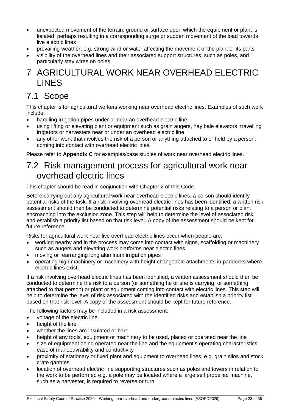- unexpected movement of the terrain, ground or surface upon which the equipment or plant is located, perhaps resulting in a corresponding surge or sudden movement of the load towards live electric lines
- prevailing weather, e.g. strong wind or water affecting the movement of the plant or its parts
- visibility of the overhead lines and their associated support structures, such as poles, and particularly stay wires on poles.

### <span id="page-22-0"></span>7 AGRICULTURAL WORK NEAR OVERHEAD ELECTRIC LINES

### <span id="page-22-1"></span>7.1 Scope

This chapter is for agricultural workers working near overhead electric lines. Examples of such work include:

- handling irrigation pipes under or near an overhead electric line
- using lifting or elevating plant or equipment such as grain augers, hay bale elevators, travelling irrigators or harvesters near or under an overhead electric line
- any other work that involves the risk of a person or anything attached to or held by a person, coming into contact with overhead electric lines.

Please refer to **Appendix C** for examples/case studies of work near overhead electric lines.

### <span id="page-22-2"></span>7.2 Risk management process for agricultural work near overhead electric lines

This chapter should be read in conjunction with Chapter 2 of this Code.

Before carrying out any agricultural work near overhead electric lines, a person should identify potential risks of the task. If a risk involving overhead electric lines has been identified, a written risk assessment should then be conducted to determine potential risks relating to a person or plant encroaching into the exclusion zone. This step will help to determine the level of associated risk and establish a priority list based on that risk level. A copy of the assessment should be kept for future reference.

Risks for agricultural work near live overhead electric lines occur when people are:

- working nearby and in the process may come into contact with signs, scaffolding or machinery such as augers and elevating work platforms near electric lines
- moving or rearranging long aluminum irrigation pipes
- operating high machinery or machinery with height changeable attachments in paddocks where electric lines exist.

If a risk involving overhead electric lines has been identified, a written assessment should then be conducted to determine the risk to a person (or something he or she is carrying, or something attached to that person) or plant or equipment coming into contact with electric lines. This step will help to determine the level of risk associated with the identified risks and establish a priority list based on that risk level. A copy of the assessment should be kept for future reference.

The following factors may be included in a risk assessment:

- voltage of the electric line
- height of the line
- whether the lines are insulated or bare
- height of any tools, equipment or machinery to be used, placed or operated near the line
- size of equipment being operated near the line and the equipment's operating characteristics, ease of manoeuvrability and conductivity
- proximity of stationary or fixed plant and equipment to overhead lines, e.g. grain silos and stock crate gantries
- location of overhead electric line supporting structures such as poles and towers in relation to the work to be performed e.g. a pole may be located where a large self propelled machine, such as a harvester, is required to reverse or turn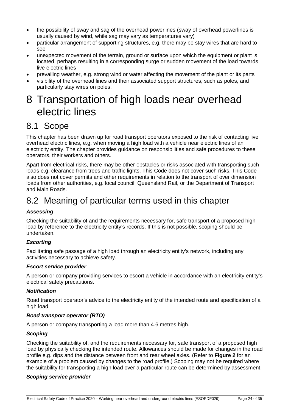- the possibility of sway and sag of the overhead powerlines (sway of overhead powerlines is usually caused by wind, while sag may vary as temperatures vary)
- particular arrangement of supporting structures, e.g. there may be stay wires that are hard to see
- unexpected movement of the terrain, ground or surface upon which the equipment or plant is located, perhaps resulting in a corresponding surge or sudden movement of the load towards live electric lines
- prevailing weather, e.g. strong wind or water affecting the movement of the plant or its parts
- visibility of the overhead lines and their associated support structures, such as poles, and particularly stay wires on poles.

## <span id="page-23-0"></span>8 Transportation of high loads near overhead electric lines

### <span id="page-23-1"></span>8.1 Scope

This chapter has been drawn up for road transport operators exposed to the risk of contacting live overhead electric lines, e.g. when moving a high load with a vehicle near electric lines of an electricity entity. The chapter provides guidance on responsibilities and safe procedures to these operators, their workers and others.

Apart from electrical risks, there may be other obstacles or risks associated with transporting such loads e.g. clearance from trees and traffic lights. This Code does not cover such risks. This Code also does not cover permits and other requirements in relation to the transport of over dimension loads from other authorities, e.g. local council, Queensland Rail, or the Department of Transport and Main Roads.

### <span id="page-23-2"></span>8.2 Meaning of particular terms used in this chapter

#### *Assessing*

Checking the suitability of and the requirements necessary for, safe transport of a proposed high load by reference to the electricity entity's records. If this is not possible, scoping should be undertaken.

#### *Escorting*

Facilitating safe passage of a high load through an electricity entity's network, including any activities necessary to achieve safety.

#### *Escort service provider*

A person or company providing services to escort a vehicle in accordance with an electricity entity's electrical safety precautions.

#### *Notification*

Road transport operator's advice to the electricity entity of the intended route and specification of a high load.

#### *Road transport operator (RTO)*

A person or company transporting a load more than 4.6 metres high.

#### *Scoping*

Checking the suitability of, and the requirements necessary for, safe transport of a proposed high load by physically checking the intended route. Allowances should be made for changes in the road profile e.g. dips and the distance between front and rear wheel axles. (Refer to **Figure 2** for an example of a problem caused by changes to the road profile.) Scoping may not be required where the suitability for transporting a high load over a particular route can be determined by assessment.

#### *Scoping service provider*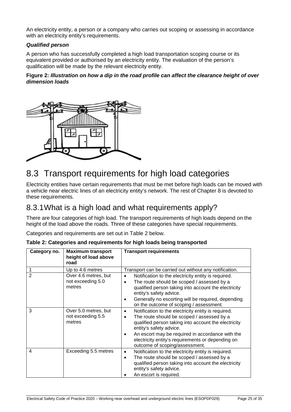An electricity entity, a person or a company who carries out scoping or assessing in accordance with an electricity entity's requirements.

#### *Qualified person*

A person who has successfully completed a high load transportation scoping course or its equivalent provided or authorised by an electricity entity. The evaluation of the person's qualification will be made by the relevant electricity entity.

#### **Figure 2:** *Illustration on how a dip in the road profile can affect the clearance height of over dimension loads*



### <span id="page-24-0"></span>8.3 Transport requirements for high load categories

Electricity entities have certain requirements that must be met before high loads can be moved with a vehicle near electric lines of an electricity entity's network. The rest of Chapter 8 is devoted to these requirements.

#### <span id="page-24-1"></span>8.3.1What is a high load and what requirements apply?

There are four categories of high load. The transport requirements of high loads depend on the height of the load above the roads. Three of these categories have special requirements.

Categories and requirements are set out in Table 2 below.

| Category no.   | <b>Maximum transport</b><br>height of load above<br>road | <b>Transport requirements</b>                                                                                                                                                                                                                                                                                                                |
|----------------|----------------------------------------------------------|----------------------------------------------------------------------------------------------------------------------------------------------------------------------------------------------------------------------------------------------------------------------------------------------------------------------------------------------|
| $\overline{2}$ | Up to 4.6 metres<br>Over 4.6 metres, but                 | Transport can be carried out without any notification.<br>Notification to the electricity entity is required.                                                                                                                                                                                                                                |
|                | not exceeding 5.0<br>metres                              | The route should be scoped / assessed by a<br>qualified person taking into account the electricity<br>entity's safety advice.                                                                                                                                                                                                                |
|                |                                                          | Generally no escorting will be required, depending<br>٠<br>on the outcome of scoping / assessment.                                                                                                                                                                                                                                           |
| 3              | Over 5.0 metres, but<br>not exceeding 5.5<br>metres      | Notification to the electricity entity is required.<br>$\bullet$<br>The route should be scoped / assessed by a<br>qualified person taking into account the electricity<br>entity's safety advice.<br>An escort may be required in accordance with the<br>electricity entity's requirements or depending on<br>outcome of scoping/assessment. |
| 4              | Exceeding 5.5 metres                                     | Notification to the electricity entity is required.<br>٠<br>The route should be scoped / assessed by a<br>$\bullet$<br>qualified person taking into account the electricity<br>entity's safety advice.<br>An escort is required.                                                                                                             |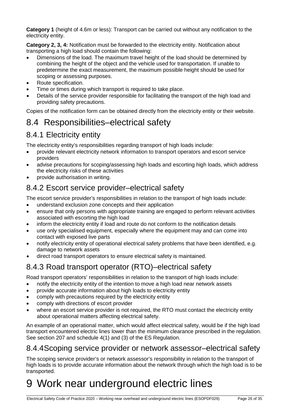<span id="page-25-6"></span>**Category 1** (height of 4.6m or less): Transport can be carried out without any notification to the electricity entity.

**Category 2, 3, 4:** Notification must be forwarded to the electricity entity. Notification about transporting a high load should contain the following:

- Dimensions of the load. The maximum travel height of the load should be determined by combining the height of the object and the vehicle used for transportation. If unable to predetermine the exact measurement, the maximum possible height should be used for scoping or assessing purposes.
- Route specification.
- Time or times during which transport is required to take place.
- Details of the service provider responsible for facilitating the transport of the high load and providing safety precautions.

Copies of the notification form can be obtained directly from the electricity entity or their website.

### <span id="page-25-0"></span>8.4 Responsibilities–electrical safety

#### <span id="page-25-1"></span>8.4.1 Electricity entity

The electricity entity's responsibilities regarding transport of high loads include:

- provide relevant electricity network information to transport operators and escort service providers
- advise precautions for scoping/assessing high loads and escorting high loads, which address the electricity risks of these activities
- provide authorisation in writing.

#### <span id="page-25-2"></span>8.4.2 Escort service provider–electrical safety

The escort service provider's responsibilities in relation to the transport of high loads include:

- understand exclusion zone concepts and their application
- ensure that only persons with appropriate training are engaged to perform relevant activities associated with escorting the high load
- inform the electricity entity if load and route do not conform to the notification details
- use only specialised equipment, especially where the equipment may and can come into contact with exposed live parts
- notify electricity entity of operational electrical safety problems that have been identified, e.g. damage to network assets
- direct road transport operators to ensure electrical safety is maintained.

### <span id="page-25-3"></span>8.4.3 Road transport operator (RTO)–electrical safety

Road transport operators' responsibilities in relation to the transport of high loads include:

- notify the electricity entity of the intention to move a high load near network assets
- provide accurate information about high loads to electricity entity
- comply with precautions required by the electricity entity
- comply with directions of escort provider
- where an escort service provider is not required, the RTO must contact the electricity entity about operational matters affecting electrical safety.

An example of an operational matter, which would affect electrical safety, would be if the high load transport encountered electric lines lower than the minimum clearance prescribed in the regulation. See section 207 and schedule 4(1) and (3) of the ES Regulation.

#### <span id="page-25-4"></span>8.4.4Scoping service provider or network assessor–electrical safety

The scoping service provider's or network assessor's responsibility in relation to the transport of high loads is to provide accurate information about the network through which the high load is to be transported.

# <span id="page-25-5"></span>9 Work near underground electric lines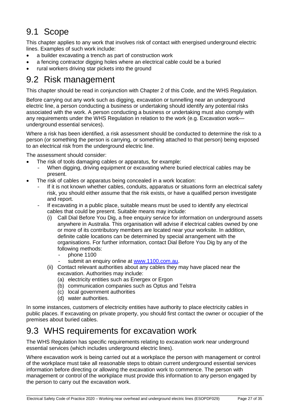### 9.1 Scope

This chapter applies to any work that involves risk of contact with energised underground electric lines. Examples of such work include:

- a builder excavating a trench as part of construction work
- a fencing contractor digging holes where an electrical cable could be a buried
- rural workers driving star pickets into the ground

### <span id="page-26-0"></span>9.2 Risk management

This chapter should be read in conjunction with Chapter 2 of this Code, and the WHS Regulation.

Before carrying out any work such as digging, excavation or tunnelling near an underground electric line, a person conducting a business or undertaking should identify any potential risks associated with the work. A person conducting a business or undertaking must also comply with any requirements under the WHS Regulation in relation to the work (e.g. Excavation work underground essential services).

Where a risk has been identified, a risk assessment should be conducted to determine the risk to a person (or something the person is carrying, or something attached to that person) being exposed to an electrical risk from the underground electric line.

The assessment should consider:

- The risk of tools damaging cables or apparatus, for example:
	- When digging, driving equipment or excavating where buried electrical cables may be present.
- The risk of cables or apparatus being concealed in a work location:
	- If it is not known whether cables, conduits, apparatus or situations form an electrical safety risk, you should either assume that the risk exists, or have a qualified person investigate and report.
	- If excavating in a public place, suitable means must be used to identify any electrical cables that could be present. Suitable means may include:
		- (i) Call Dial Before You Dig, a free enquiry service for information on underground assets anywhere in Australia. This organisation will advise if electrical cables owned by one or more of its contributory members are located near your worksite. In addition, definite cable locations can be determined by special arrangement with the organisations. For further information, contact Dial Before You Dig by any of the following methods:
			- $-$  phone 1100
			- submit an enquiry online at [www.1100.com.au.](http://www.1100.com.au/)
		- (ii) Contact relevant authorities about any cables they may have placed near the excavation. Authorities may include:
			- (a) electricity entities such as Energex or Ergon
			- (b) communication companies such as Optus and Telstra
			- (c) local government authorities
			- (d) water authorities.

In some instances, customers of electricity entities have authority to place electricity cables in public places. If excavating on private property, you should first contact the owner or occupier of the premises about buried cables.

### <span id="page-26-1"></span>9.3 WHS requirements for excavation work

The WHS Regulation has specific requirements relating to excavation work near underground essential services (which includes underground electric lines).

Where excavation work is being carried out at a workplace the person with management or control of the workplace must take all reasonable steps to obtain current underground essential services information before directing or allowing the excavation work to commence. The person with management or control of the workplace must provide this information to any person engaged by the person to carry out the excavation work.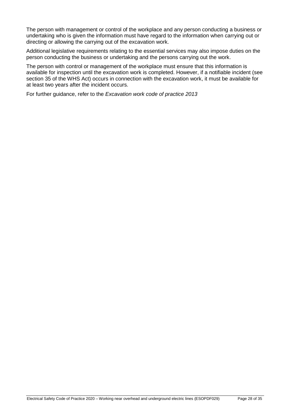The person with management or control of the workplace and any person conducting a business or undertaking who is given the information must have regard to the information when carrying out or directing or allowing the carrying out of the excavation work.

Additional legislative requirements relating to the essential services may also impose duties on the person conducting the business or undertaking and the persons carrying out the work.

The person with control or management of the workplace must ensure that this information is available for inspection until the excavation work is completed. However, if a notifiable incident (see section 35 of the WHS Act) occurs in connection with the excavation work, it must be available for at least two years after the incident occurs.

For further guidance, refer to the *Excavation work code of practice 2013*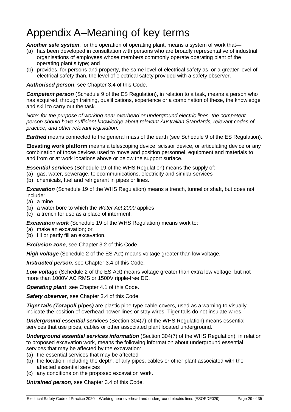# <span id="page-28-0"></span>Appendix A–Meaning of key terms

*Another safe system*, for the operation of operating plant, means a system of work that—

- (a) has been developed in consultation with persons who are broadly representative of industrial organisations of employees whose members commonly operate operating plant of the operating plant's type; and
- (b) provides, for persons and property, the same level of electrical safety as, or a greater level of electrical safety than, the level of electrical safety provided with a safety observer.

#### *Authorised person*, see Chapter 3.4 of this Code.

**Competent person** (Schedule 9 of the ES Regulation), in relation to a task, means a person who has acquired, through training, qualifications, experience or a combination of these, the knowledge and skill to carry out the task.

*Note: for the purpose of working near overhead or underground electric lines, the competent person should have sufficient knowledge about relevant Australian Standards, relevant codes of practice, and other relevant legislation.*

*Earthed* means connected to the general mass of the earth (see Schedule 9 of the ES Regulation).

**Elevating work platform** means a telescoping device, scissor device, or articulating device or any combination of those devices used to move and position personnel, equipment and materials to and from or at work locations above or below the support surface.

*Essential services* (Schedule 19 of the WHS Regulation) means the supply of:

- (a) gas, water, sewerage, telecommunications, electricity and similar services
- (b) chemicals, fuel and refrigerant in pipes or lines.

**Excavation** (Schedule 19 of the WHS Regulation) means a trench, tunnel or shaft, but does not include:

- (a) a mine
- (b) a water bore to which the *Water Act 2000* applies

(c) a trench for use as a place of interment.

*Excavation work* (Schedule 19 of the WHS Regulation) means work to:

- (a) make an excavation; or
- (b) fill or partly fill an excavation.

*Exclusion zone*, see Chapter 3.2 of this Code.

*High voltage* (Schedule 2 of the ES Act) means voltage greater than low voltage.

*Instructed person*, see Chapter 3.4 of this Code.

*Low voltage* (Schedule 2 of the ES Act) means voltage greater than extra low voltage, but not more than 1000V AC RMS or 1500V ripple-free DC.

*Operating plant*, see Chapter 4.1 of this Code.

*Safety observer*, see Chapter 3.4 of this Code.

*Tiger tails (Torapoli pipes)* are plastic pipe type cable covers, used as a warning to visually indicate the position of overhead power lines or stay wires. Tiger tails do not insulate wires.

*Underground essential services* (Section 304(7) of the WHS Regulation) means essential services that use pipes, cables or other associated plant located underground.

*Underground essential services information* (Section 304(7) of the WHS Regulation), in relation to proposed excavation work, means the following information about underground essential services that may be affected by the excavation:

- (a) the essential services that may be affected
- (b) the location, including the depth, of any pipes, cables or other plant associated with the affected essential services
- (c) any conditions on the proposed excavation work.

*Untrained person*, see Chapter 3.4 of this Code.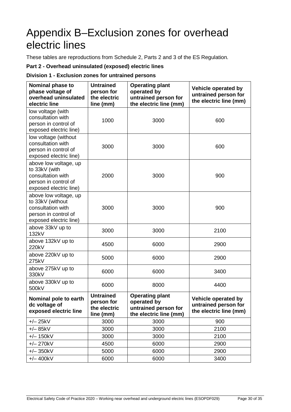## <span id="page-29-0"></span>Appendix B–Exclusion zones for overhead electric lines

These tables are reproductions from Schedule 2, Parts 2 and 3 of the ES Regulation*.*

#### **Part 2 - Overhead uninsulated (exposed) electric lines**

#### **Division 1 - Exclusion zones for untrained persons**

| <b>Nominal phase to</b><br>phase voltage of<br>overhead uninsulated<br>electric line                             | <b>Untrained</b><br>person for<br>the electric<br>line (mm) | <b>Operating plant</b><br>operated by<br>untrained person for<br>the electric line (mm) | Vehicle operated by<br>untrained person for<br>the electric line (mm) |
|------------------------------------------------------------------------------------------------------------------|-------------------------------------------------------------|-----------------------------------------------------------------------------------------|-----------------------------------------------------------------------|
| low voltage (with<br>consultation with<br>person in control of<br>exposed electric line)                         | 1000                                                        | 3000                                                                                    | 600                                                                   |
| low voltage (without<br>consultation with<br>person in control of<br>exposed electric line)                      | 3000                                                        | 3000                                                                                    | 600                                                                   |
| above low voltage, up<br>to 33kV (with<br>consultation with<br>person in control of<br>exposed electric line)    | 2000                                                        | 3000                                                                                    | 900                                                                   |
| above low voltage, up<br>to 33kV (without<br>consultation with<br>person in control of<br>exposed electric line) | 3000                                                        | 3000                                                                                    | 900                                                                   |
| above 33kV up to<br>132kV                                                                                        | 3000                                                        | 3000                                                                                    | 2100                                                                  |
| above 132kV up to<br>220kV                                                                                       | 4500                                                        | 6000                                                                                    | 2900                                                                  |
| above 220kV up to<br>275kV                                                                                       | 5000                                                        | 6000                                                                                    | 2900                                                                  |
| above 275kV up to<br>330kV                                                                                       | 6000                                                        | 6000                                                                                    | 3400                                                                  |
| above 330kV up to<br>500kV                                                                                       | 6000                                                        | 8000                                                                                    | 4400                                                                  |
| Nominal pole to earth<br>dc voltage of<br>exposed electric line                                                  | <b>Untrained</b><br>person tor<br>the electric<br>line (mm) | <b>Operating plant</b><br>operated by<br>untrained person for<br>the electric line (mm) | Vehicle operated by<br>untrained person for<br>the electric line (mm) |
| $+/- 25kV$                                                                                                       | 3000                                                        | 3000                                                                                    | 900                                                                   |
| $+/- 85kV$                                                                                                       | 3000                                                        | 3000                                                                                    | 2100                                                                  |
| $+/- 150kV$                                                                                                      | 3000                                                        | 3000                                                                                    | 2100                                                                  |
| $+/- 270kV$                                                                                                      | 4500                                                        | 6000                                                                                    | 2900                                                                  |
| $+/- 350kV$                                                                                                      | 5000                                                        | 6000                                                                                    | 2900                                                                  |
| $+/- 400kV$                                                                                                      | 6000                                                        | 6000                                                                                    | 3400                                                                  |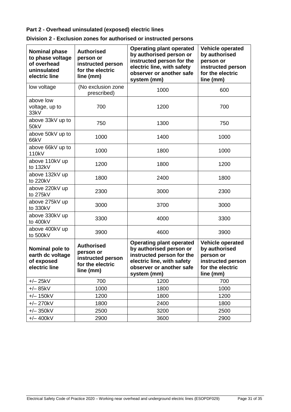#### **Part 2 - Overhead uninsulated (exposed) electric lines**

| <b>Nominal phase</b><br>to phase voltage<br>of overhead<br>uninsulated<br>electric line | <b>Authorised</b><br>person or<br>instructed person<br>for the electric<br>line (mm) | <b>Operating plant operated</b><br>by authorised person or<br>instructed person for the<br>electric line, with safety<br>observer or another safe<br>system (mm) | <b>Vehicle operated</b><br>by authorised<br>person or<br>instructed person<br>for the electric<br>line (mm) |
|-----------------------------------------------------------------------------------------|--------------------------------------------------------------------------------------|------------------------------------------------------------------------------------------------------------------------------------------------------------------|-------------------------------------------------------------------------------------------------------------|
| low voltage                                                                             | (No exclusion zone<br>prescribed)                                                    | 1000                                                                                                                                                             | 600                                                                                                         |
| above low<br>voltage, up to<br>33kV                                                     | 700                                                                                  | 1200                                                                                                                                                             | 700                                                                                                         |
| above 33kV up to<br>50kV                                                                | 750                                                                                  | 1300                                                                                                                                                             | 750                                                                                                         |
| above 50kV up to<br>66kV                                                                | 1000                                                                                 | 1400                                                                                                                                                             | 1000                                                                                                        |
| above 66kV up to<br>110 <sub>k</sub> V                                                  | 1000                                                                                 | 1800                                                                                                                                                             | 1000                                                                                                        |
| above 110kV up<br>to 132kV                                                              | 1200                                                                                 | 1800                                                                                                                                                             | 1200                                                                                                        |
| above 132kV up<br>to 220kV                                                              | 1800                                                                                 | 2400                                                                                                                                                             | 1800                                                                                                        |
| above 220kV up<br>to 275kV                                                              | 2300                                                                                 | 3000                                                                                                                                                             | 2300                                                                                                        |
| above 275kV up<br>to 330kV                                                              | 3000                                                                                 | 3700                                                                                                                                                             | 3000                                                                                                        |
| above 330kV up<br>to 400kV                                                              | 3300                                                                                 | 4000                                                                                                                                                             | 3300                                                                                                        |
| above 400kV up<br>to 500kV                                                              | 3900                                                                                 | 4600                                                                                                                                                             | 3900                                                                                                        |
| Nominal pole to<br>earth dc voltage<br>of exposed<br>electric line                      | <b>Authorised</b><br>person or<br>instructed person<br>for the electric<br>line (mm) | <b>Operating plant operated</b><br>by authorised person or<br>instructed person for the<br>electric line, with safety<br>observer or another safe<br>system (mm) | <b>Vehicle operated</b><br>by authorised<br>person or<br>instructed person<br>for the electric<br>line (mm) |
| $+/- 25kV$                                                                              | 700                                                                                  | 1200                                                                                                                                                             | 700                                                                                                         |
| $+/- 85kV$                                                                              | 1000                                                                                 | 1800                                                                                                                                                             | 1000                                                                                                        |
| $+/- 150kV$                                                                             | 1200                                                                                 | 1800                                                                                                                                                             | 1200                                                                                                        |
| $+/- 270kV$                                                                             | 1800                                                                                 | 2400                                                                                                                                                             | 1800                                                                                                        |
| $+/- 350kV$                                                                             | 2500                                                                                 | 3200                                                                                                                                                             | 2500                                                                                                        |
| $+/- 400kV$                                                                             | 2900                                                                                 | 3600                                                                                                                                                             | 2900                                                                                                        |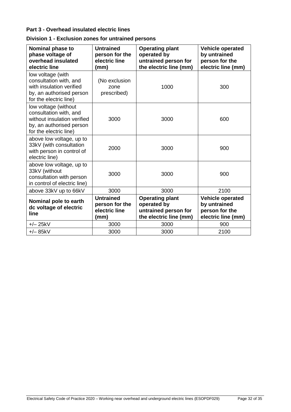#### **Part 3 - Overhead insulated electric lines**

| Nominal phase to<br>phase voltage of<br>overhead insulated<br>electric line                                                         | <b>Untrained</b><br>person for the<br>electric line<br>(mm) | <b>Operating plant</b><br>operated by<br>untrained person for<br>the electric line (mm) | <b>Vehicle operated</b><br>by untrained<br>person for the<br>electric line (mm) |
|-------------------------------------------------------------------------------------------------------------------------------------|-------------------------------------------------------------|-----------------------------------------------------------------------------------------|---------------------------------------------------------------------------------|
| low voltage (with<br>consultation with, and<br>with insulation verified<br>by, an authorised person<br>for the electric line)       | (No exclusion<br>zone<br>prescribed)                        | 1000                                                                                    | 300                                                                             |
| low voltage (without<br>consultation with, and<br>without insulation verified<br>by, an authorised person<br>for the electric line) | 3000                                                        | 3000                                                                                    | 600                                                                             |
| above low voltage, up to<br>33kV (with consultation<br>with person in control of<br>electric line)                                  | 2000                                                        | 3000                                                                                    | 900                                                                             |
| above low voltage, up to<br>33kV (without<br>consultation with person<br>in control of electric line)                               | 3000                                                        | 3000                                                                                    | 900                                                                             |
| above 33kV up to 66kV                                                                                                               | 3000                                                        | 3000                                                                                    | 2100                                                                            |
| Nominal pole to earth<br>dc voltage of electric<br>line                                                                             | <b>Untrained</b><br>person for the<br>electric line<br>(mm) | <b>Operating plant</b><br>operated by<br>untrained person for<br>the electric line (mm) | <b>Vehicle operated</b><br>by untrained<br>person for the<br>electric line (mm) |
| $+/- 25kV$                                                                                                                          | 3000                                                        | 3000                                                                                    | 900                                                                             |
| $+/- 85kV$                                                                                                                          | 3000                                                        | 3000                                                                                    | 2100                                                                            |

|  | Division 1 - Exclusion zones for untrained persons |  |  |  |
|--|----------------------------------------------------|--|--|--|
|--|----------------------------------------------------|--|--|--|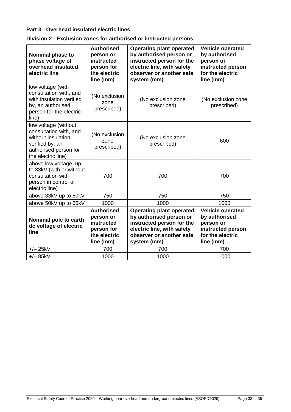#### **Part 3 - Overhead insulated electric lines**

| Nominal phase to<br>phase voltage of<br>overhead insulated<br>electric line                                                                                                    | <b>Authorised</b><br>person or<br>instructed<br>person for<br>the electric<br>line (mm) | <b>Operating plant operated</b><br>by authorised person or<br>instructed person for the<br>electric line, with safety<br>observer or another safe<br>system (mm) | Vehicle operated<br>by authorised<br>person or<br>instructed person<br>for the electric<br>line (mm)        |
|--------------------------------------------------------------------------------------------------------------------------------------------------------------------------------|-----------------------------------------------------------------------------------------|------------------------------------------------------------------------------------------------------------------------------------------------------------------|-------------------------------------------------------------------------------------------------------------|
| low voltage (with<br>consultation with, and<br>with insulation verified<br>by, an authorised<br>person for the electric<br>line)                                               | (No exclusion<br>zone<br>prescribed)                                                    | (No exclusion zone<br>prescribed)                                                                                                                                | (No exclusion zone<br>prescribed)                                                                           |
| low voltage (without<br>consultation with, and<br>(No exclusion<br>without insulation<br>zone<br>verified by, an<br>prescribed)<br>authorised person for<br>the electric line) |                                                                                         | (No exclusion zone<br>prescribed)                                                                                                                                | 600                                                                                                         |
| above low voltage, up<br>to 33kV (with or without<br>consultation with<br>person in control of<br>electric line)                                                               | 700                                                                                     | 700                                                                                                                                                              | 700                                                                                                         |
| above 33kV up to 50kV                                                                                                                                                          | 750                                                                                     | 750                                                                                                                                                              | 750                                                                                                         |
| above 50kV up to 66kV                                                                                                                                                          | 1000                                                                                    | 1000                                                                                                                                                             | 1000                                                                                                        |
| Nominal pole to earth<br>dc voltage of electric<br>line                                                                                                                        | <b>Authorised</b><br>person or<br>instructed<br>person for<br>the electric<br>line (mm) | <b>Operating plant operated</b><br>by authorised person or<br>instructed person for the<br>electric line, with safety<br>observer or another safe<br>system (mm) | <b>Vehicle operated</b><br>by authorised<br>person or<br>instructed person<br>for the electric<br>line (mm) |
| $+/- 25kV$                                                                                                                                                                     | 700                                                                                     | 700                                                                                                                                                              | 700                                                                                                         |
| $+/- 85kV$                                                                                                                                                                     | 1000                                                                                    | 1000                                                                                                                                                             | 1000                                                                                                        |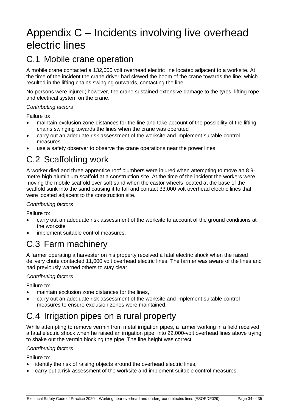## <span id="page-33-5"></span><span id="page-33-0"></span>Appendix C – Incidents involving live overhead electric lines

### <span id="page-33-1"></span>C.1 Mobile crane operation

A mobile crane contacted a 132,000 volt overhead electric line located adjacent to a worksite. At the time of the incident the crane driver had slewed the boom of the crane towards the line, which resulted in the lifting chains swinging outwards, contacting the line.

No persons were injured; however, the crane sustained extensive damage to the tyres, lifting rope and electrical system on the crane.

#### *Contributing factors*

Failure to:

- maintain exclusion zone distances for the line and take account of the possibility of the lifting chains swinging towards the lines when the crane was operated
- carry out an adequate risk assessment of the worksite and implement suitable control measures
- use a safety observer to observe the crane operations near the power lines.

### <span id="page-33-2"></span>C.2 Scaffolding work

A worker died and three apprentice roof plumbers were injured when attempting to move an 8.9 metre-high aluminium scaffold at a construction site. At the time of the incident the workers were moving the mobile scaffold over soft sand when the castor wheels located at the base of the scaffold sunk into the sand causing it to fall and contact 33,000 volt overhead electric lines that were located adjacent to the construction site.

#### *Contributing factors*

Failure to:

- carry out an adequate risk assessment of the worksite to account of the ground conditions at the worksite
- implement suitable control measures.

### <span id="page-33-3"></span>C.3 Farm machinery

A farmer operating a harvester on his property received a fatal electric shock when the raised delivery chute contacted 11,000 volt overhead electric lines. The farmer was aware of the lines and had previously warned others to stay clear.

#### *Contributing factors*

Failure to:

- maintain exclusion zone distances for the lines,
- carry out an adequate risk assessment of the worksite and implement suitable control measures to ensure exclusion zones were maintained.

### <span id="page-33-4"></span>C.4 Irrigation pipes on a rural property

While attempting to remove vermin from metal irrigation pipes, a farmer working in a field received a fatal electric shock when he raised an irrigation pipe, into 22,000-volt overhead lines above trying to shake out the vermin blocking the pipe. The line height was correct.

#### *Contributing factors*

Failure to:

- identify the risk of raising objects around the overhead electric lines,
- carry out a risk assessment of the worksite and implement suitable control measures.